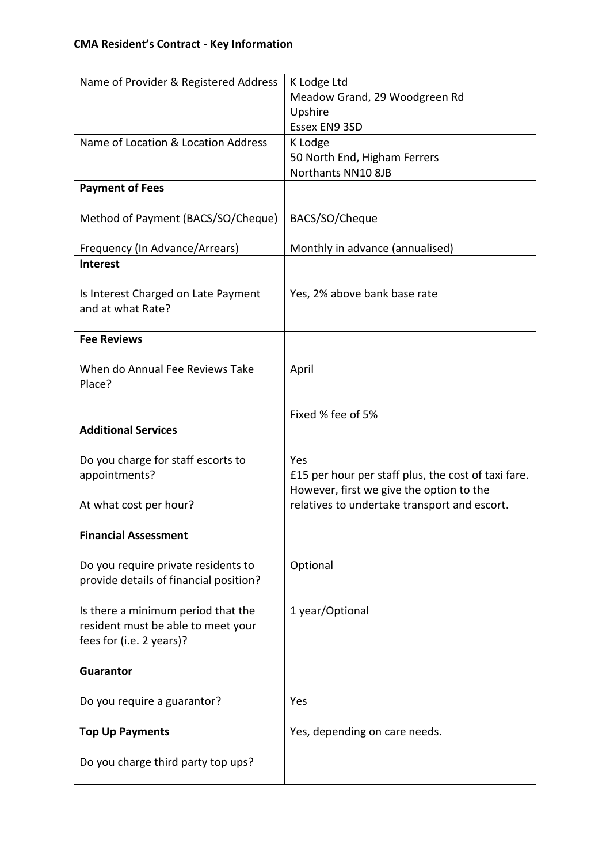| Name of Provider & Registered Address     | K Lodge Ltd                                                                                     |
|-------------------------------------------|-------------------------------------------------------------------------------------------------|
|                                           | Meadow Grand, 29 Woodgreen Rd                                                                   |
|                                           | Upshire                                                                                         |
|                                           | Essex EN9 3SD                                                                                   |
| Name of Location & Location Address       | K Lodge                                                                                         |
|                                           | 50 North End, Higham Ferrers                                                                    |
|                                           | Northants NN10 8JB                                                                              |
| <b>Payment of Fees</b>                    |                                                                                                 |
| Method of Payment (BACS/SO/Cheque)        | BACS/SO/Cheque                                                                                  |
| Frequency (In Advance/Arrears)            | Monthly in advance (annualised)                                                                 |
| <b>Interest</b>                           |                                                                                                 |
| Is Interest Charged on Late Payment       | Yes, 2% above bank base rate                                                                    |
| and at what Rate?                         |                                                                                                 |
| <b>Fee Reviews</b>                        |                                                                                                 |
|                                           |                                                                                                 |
| When do Annual Fee Reviews Take<br>Place? | April                                                                                           |
|                                           |                                                                                                 |
|                                           | Fixed % fee of 5%                                                                               |
| <b>Additional Services</b>                |                                                                                                 |
|                                           |                                                                                                 |
|                                           |                                                                                                 |
| Do you charge for staff escorts to        | Yes                                                                                             |
| appointments?                             | £15 per hour per staff plus, the cost of taxi fare.<br>However, first we give the option to the |
| At what cost per hour?                    | relatives to undertake transport and escort.                                                    |
|                                           |                                                                                                 |
| <b>Financial Assessment</b>               |                                                                                                 |
|                                           |                                                                                                 |
| Do you require private residents to       | Optional                                                                                        |
| provide details of financial position?    |                                                                                                 |
| Is there a minimum period that the        | 1 year/Optional                                                                                 |
| resident must be able to meet your        |                                                                                                 |
| fees for (i.e. 2 years)?                  |                                                                                                 |
|                                           |                                                                                                 |
| <b>Guarantor</b>                          |                                                                                                 |
| Do you require a guarantor?               | Yes                                                                                             |
|                                           |                                                                                                 |
| <b>Top Up Payments</b>                    | Yes, depending on care needs.                                                                   |
| Do you charge third party top ups?        |                                                                                                 |